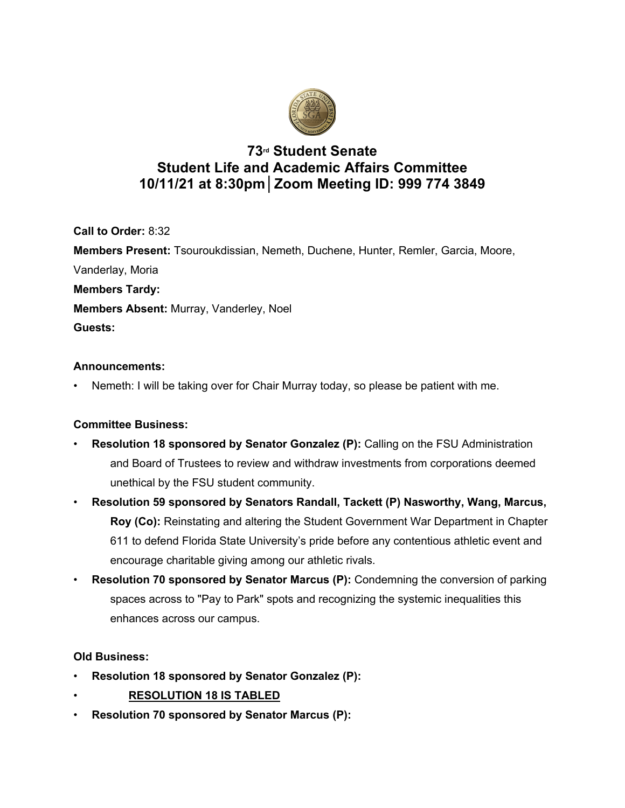

# **73rd Student Senate Student Life and Academic Affairs Committee 10/11/21 at 8:30pm│Zoom Meeting ID: 999 774 3849**

**Call to Order:** 8:32 **Members Present:** Tsouroukdissian, Nemeth, Duchene, Hunter, Remler, Garcia, Moore, Vanderlay, Moria **Members Tardy: Members Absent:** Murray, Vanderley, Noel **Guests:** 

## **Announcements:**

• Nemeth: I will be taking over for Chair Murray today, so please be patient with me.

### **Committee Business:**

- **Resolution 18 sponsored by Senator Gonzalez (P):** Calling on the FSU Administration and Board of Trustees to review and withdraw investments from corporations deemed unethical by the FSU student community.
- **Resolution 59 sponsored by Senators Randall, Tackett (P) Nasworthy, Wang, Marcus, Roy (Co):** Reinstating and altering the Student Government War Department in Chapter 611 to defend Florida State University's pride before any contentious athletic event and encourage charitable giving among our athletic rivals.
- **Resolution 70 sponsored by Senator Marcus (P):** Condemning the conversion of parking spaces across to "Pay to Park" spots and recognizing the systemic inequalities this enhances across our campus.

### **Old Business:**

- **Resolution 18 sponsored by Senator Gonzalez (P):**
- **RESOLUTION 18 IS TABLED**
- **Resolution 70 sponsored by Senator Marcus (P):**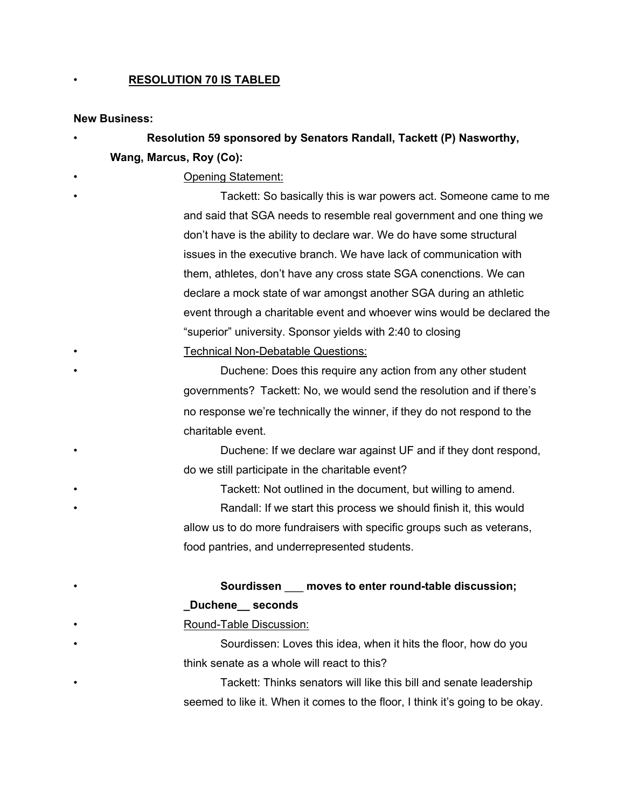#### • **RESOLUTION 70 IS TABLED**

#### **New Business:**

## • **Resolution 59 sponsored by Senators Randall, Tackett (P) Nasworthy, Wang, Marcus, Roy (Co):**

**Opening Statement:** 

• Tackett: So basically this is war powers act. Someone came to me and said that SGA needs to resemble real government and one thing we don't have is the ability to declare war. We do have some structural issues in the executive branch. We have lack of communication with them, athletes, don't have any cross state SGA conenctions. We can declare a mock state of war amongst another SGA during an athletic event through a charitable event and whoever wins would be declared the "superior" university. Sponsor yields with 2:40 to closing • Technical Non-Debatable Questions:

• Duchene: Does this require any action from any other student governments? Tackett: No, we would send the resolution and if there's no response we're technically the winner, if they do not respond to the charitable event.

• Duchene: If we declare war against UF and if they dont respond, do we still participate in the charitable event?

• Tackett: Not outlined in the document, but willing to amend.

• Randall: If we start this process we should finish it, this would allow us to do more fundraisers with specific groups such as veterans, food pantries, and underrepresented students.

## • **Sourdissen** \_\_\_ **moves to enter round-table discussion; \_Duchene\_\_ seconds**

• Round-Table Discussion:

• Sourdissen: Loves this idea, when it hits the floor, how do you think senate as a whole will react to this?

• Tackett: Thinks senators will like this bill and senate leadership seemed to like it. When it comes to the floor, I think it's going to be okay.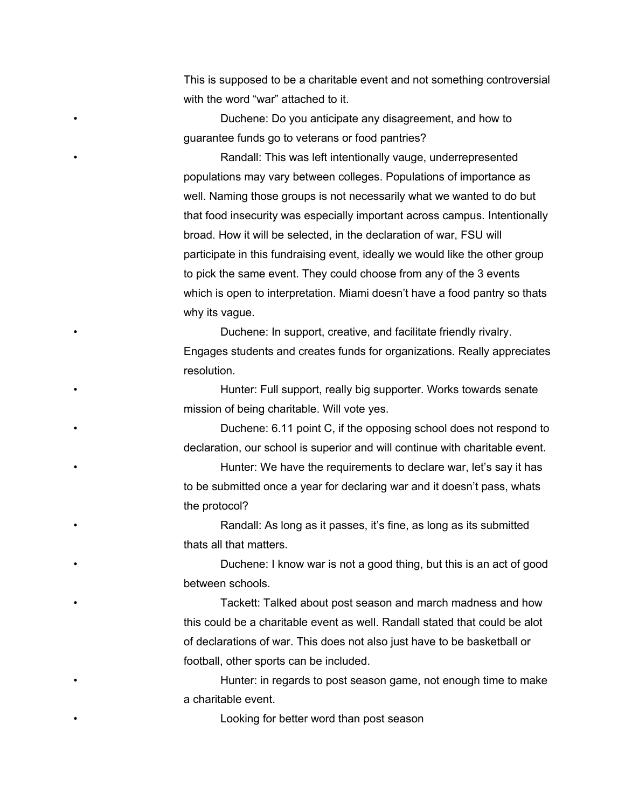This is supposed to be a charitable event and not something controversial with the word "war" attached to it.

• Duchene: Do you anticipate any disagreement, and how to guarantee funds go to veterans or food pantries?

• Randall: This was left intentionally vauge, underrepresented populations may vary between colleges. Populations of importance as well. Naming those groups is not necessarily what we wanted to do but that food insecurity was especially important across campus. Intentionally broad. How it will be selected, in the declaration of war, FSU will participate in this fundraising event, ideally we would like the other group to pick the same event. They could choose from any of the 3 events which is open to interpretation. Miami doesn't have a food pantry so thats why its vague.

• Duchene: In support, creative, and facilitate friendly rivalry. Engages students and creates funds for organizations. Really appreciates resolution.

• Hunter: Full support, really big supporter. Works towards senate mission of being charitable. Will vote yes.

• Duchene: 6.11 point C, if the opposing school does not respond to declaration, our school is superior and will continue with charitable event.

Hunter: We have the requirements to declare war, let's say it has to be submitted once a year for declaring war and it doesn't pass, whats the protocol?

Randall: As long as it passes, it's fine, as long as its submitted thats all that matters.

• Duchene: I know war is not a good thing, but this is an act of good between schools.

• Tackett: Talked about post season and march madness and how this could be a charitable event as well. Randall stated that could be alot of declarations of war. This does not also just have to be basketball or football, other sports can be included.

• Hunter: in regards to post season game, not enough time to make a charitable event.

• Looking for better word than post season